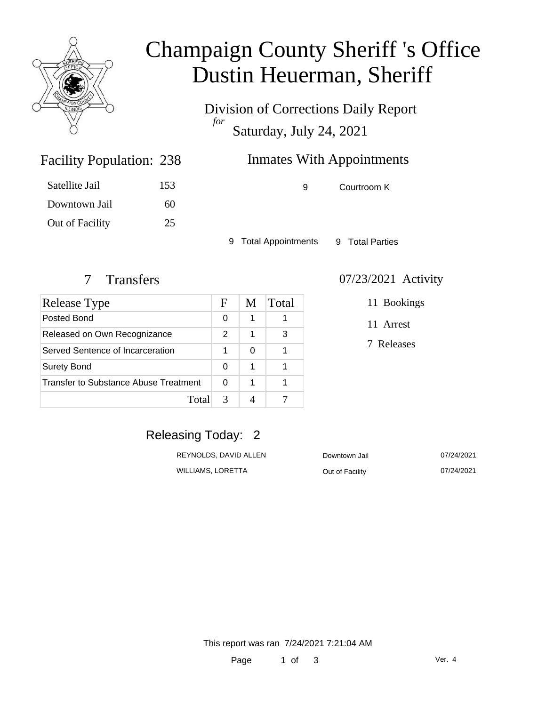

# Champaign County Sheriff 's Office Dustin Heuerman, Sheriff

Division of Corrections Daily Report *for* Saturday, July 24, 2021

# Inmates With Appointments

| Satellite Jail  | 153 |
|-----------------|-----|
| Downtown Jail   | 60  |
| Out of Facility | 25  |

Facility Population: 238

9 Courtroom K

9 Total Appointments 9 Total Parties

| Release Type                          | F | M | Total |
|---------------------------------------|---|---|-------|
| Posted Bond                           |   | 1 |       |
| Released on Own Recognizance          |   | 1 | 3     |
| Served Sentence of Incarceration      |   | 0 |       |
| <b>Surety Bond</b>                    |   | 1 |       |
| Transfer to Substance Abuse Treatment |   | 1 |       |
| Total                                 | 3 |   |       |

#### 7 Transfers 07/23/2021 Activity

11 Bookings

11 Arrest

7 Releases

### Releasing Today: 2

| REYNOLDS, DAVID ALLEN | Downtown Jail   | 07/24/2021 |
|-----------------------|-----------------|------------|
| WILLIAMS. LORETTA     | Out of Facility | 07/24/2021 |

This report was ran 7/24/2021 7:21:04 AM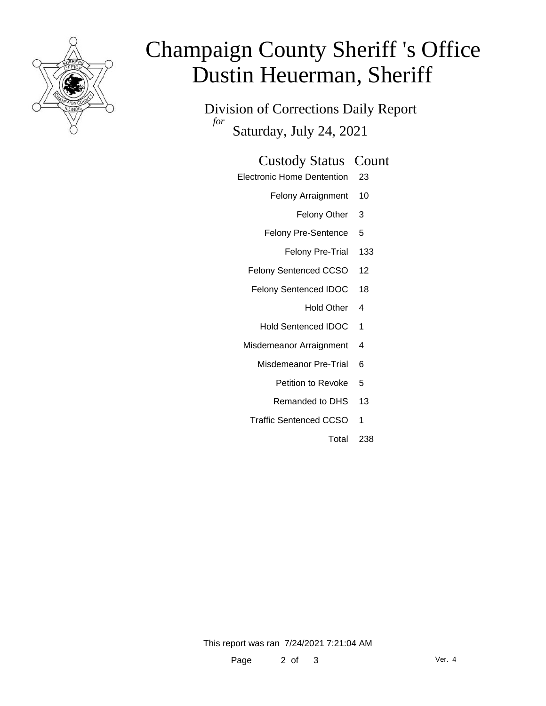

# Champaign County Sheriff 's Office Dustin Heuerman, Sheriff

Division of Corrections Daily Report *for* Saturday, July 24, 2021

#### Custody Status Count

- Electronic Home Dentention 23
	- Felony Arraignment 10
		- Felony Other 3
	- Felony Pre-Sentence 5
		- Felony Pre-Trial 133
	- Felony Sentenced CCSO 12
	- Felony Sentenced IDOC 18
		- Hold Other 4
		- Hold Sentenced IDOC 1
	- Misdemeanor Arraignment 4
		- Misdemeanor Pre-Trial 6
			- Petition to Revoke 5
			- Remanded to DHS 13
		- Traffic Sentenced CCSO 1
			- Total 238

This report was ran 7/24/2021 7:21:04 AM